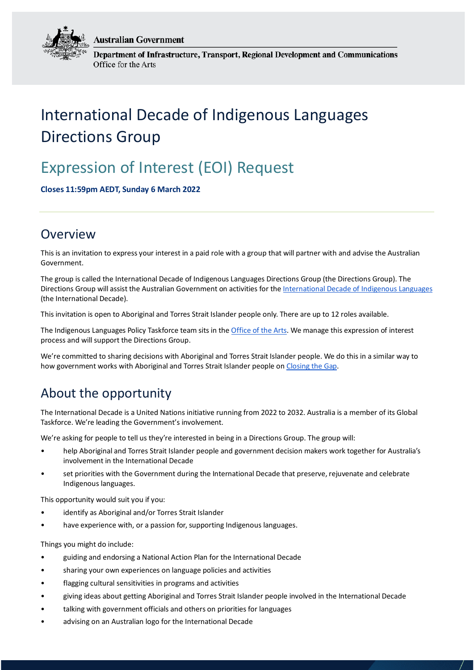**Australian Government** 



Department of Infrastructure, Transport, Regional Development and Communications Office for the Arts

# International Decade of Indigenous Languages Directions Group

# Expression of Interest (EOI) Request

**Closes 11:59pm AEDT, Sunday 6 March 2022**

### Overview

This is an invitation to express your interest in a paid role with a group that will partner with and advise the Australian Government.

The group is called the International Decade of Indigenous Languages Directions Group (the Directions Group). The Directions Group will assist the Australian Government on activities for the [International Decade of Indigenous Languages](https://en.unesco.org/idil2022-2032) (the International Decade).

This invitation is open to Aboriginal and Torres Strait Islander people only. There are up to 12 roles available.

The Indigenous Languages Policy Taskforce team sits in the Office [of the Arts.](https://www.arts.gov.au/) We manage this expression of interest process and will support the Directions Group.

We're committed to sharing decisions with Aboriginal and Torres Strait Islander people. We do this in a similar way to how government works with Aboriginal and Torres Strait Islander people o[n Closing the Gap.](https://www.closingthegap.gov.au/)

## About the opportunity

The International Decade is a United Nations initiative running from 2022 to 2032. Australia is a member of its Global Taskforce. We're leading the Government's involvement.

We're asking for people to tell us they're interested in being in a Directions Group. The group will:

- help Aboriginal and Torres Strait Islander people and government decision makers work together for Australia's involvement in the International Decade
- set priorities with the Government during the International Decade that preserve, rejuvenate and celebrate Indigenous languages.

This opportunity would suit you if you:

- identify as Aboriginal and/or Torres Strait Islander
- have experience with, or a passion for, supporting Indigenous languages.

Things you might do include:

- guiding and endorsing a National Action Plan for the International Decade
- sharing your own experiences on language policies and activities
- flagging cultural sensitivities in programs and activities
- giving ideas about getting Aboriginal and Torres Strait Islander people involved in the International Decade
- talking with government officials and others on priorities for languages
- advising on an Australian logo for the International Decade